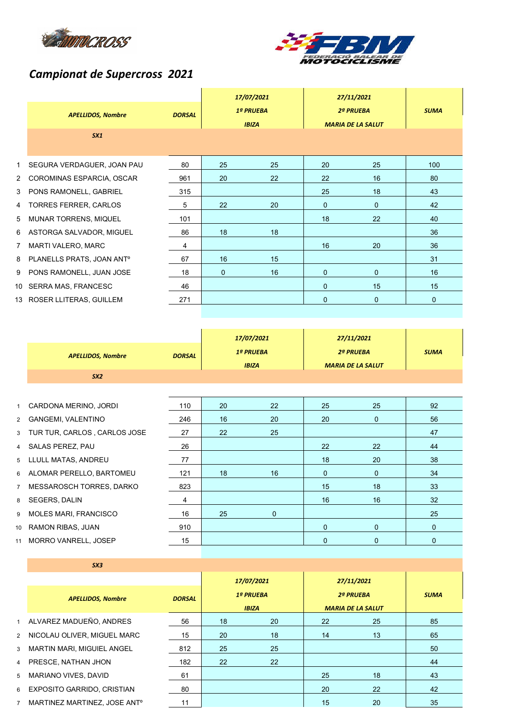



## *Campionat de Supercross 2021*

|                | <b>APELLIDOS, Nombre</b><br>SX1       | <b>DORSAL</b> |    | 17/07/2021<br>1ª PRUEBA<br><b>IBIZA</b> |              | 27/11/2021<br>2ª PRUEBA<br><b>MARIA DE LA SALUT</b> | <b>SUMA</b> |
|----------------|---------------------------------------|---------------|----|-----------------------------------------|--------------|-----------------------------------------------------|-------------|
| 1              | SEGURA VERDAGUER, JOAN PAU            | 80            | 25 | 25                                      | 20           | 25                                                  | 100         |
| $\mathbf{2}$   | COROMINAS ESPARCIA, OSCAR             | 961           | 20 | 22                                      | 22           | 16                                                  | 80          |
| 3              | PONS RAMONELL, GABRIEL                | 315           |    |                                         | 25           | 18                                                  | 43          |
| 4              | TORRES FERRER, CARLOS                 | 5             | 22 | 20                                      | $\mathbf{0}$ | $\mathbf{0}$                                        | 42          |
| 5              | MUNAR TORRENS, MIQUEL                 | 101           |    |                                         | 18           | 22                                                  | 40          |
| 6              | ASTORGA SALVADOR, MIGUEL              | 86            | 18 | 18                                      |              |                                                     | 36          |
| $\overline{7}$ | <b>MARTI VALERO, MARC</b>             | 4             |    |                                         | 16           | 20                                                  | 36          |
| 8              | PLANELLS PRATS, JOAN ANT <sup>o</sup> | 67            | 16 | 15                                      |              |                                                     | 31          |
| 9              | PONS RAMONELL, JUAN JOSE              | 18            | 0  | 16                                      | 0            | $\mathbf 0$                                         | 16          |
|                | 10 SERRA MAS, FRANCESC                | 46            |    |                                         | $\mathbf{0}$ | 15                                                  | 15          |
|                | 13 ROSER LLITERAS, GUILLEM            | 271           |    |                                         | $\mathbf{0}$ | $\mathbf{0}$                                        | 0           |

|                |                                |               |                           | 17/07/2021  |                                       | 27/11/2021  |             |  |
|----------------|--------------------------------|---------------|---------------------------|-------------|---------------------------------------|-------------|-------------|--|
|                | <b>APELLIDOS, Nombre</b>       | <b>DORSAL</b> | 1ª PRUEBA<br><b>IBIZA</b> |             | 2ª PRUEBA<br><b>MARIA DE LA SALUT</b> |             | <b>SUMA</b> |  |
|                | SX2                            |               |                           |             |                                       |             |             |  |
|                |                                |               |                           |             |                                       |             |             |  |
| $\mathbf{1}$   | CARDONA MERINO, JORDI          | 110           | 20                        | 22          | 25                                    | 25          | 92          |  |
|                | 2 GANGEMI, VALENTINO           | 246           | 16                        | 20          | 20                                    | $\mathbf 0$ | 56          |  |
|                | 3 TUR TUR, CARLOS, CARLOS JOSE | 27            | 22                        | 25          |                                       |             | 47          |  |
|                | 4 SALAS PEREZ, PAU             | 26            |                           |             | 22                                    | 22          | 44          |  |
|                | 5 LLULL MATAS, ANDREU          | 77            |                           |             | 18                                    | 20          | 38          |  |
|                | 6 ALOMAR PERELLO, BARTOMEU     | 121           | 18                        | 16          | $\mathbf{0}$                          | $\mathbf 0$ | 34          |  |
| $\overline{7}$ | MESSAROSCH TORRES, DARKO       | 823           |                           |             | 15                                    | 18          | 33          |  |
|                | 8 SEGERS, DALIN                | 4             |                           |             | 16                                    | 16          | 32          |  |
|                | 9 MOLES MARI, FRANCISCO        | 16            | 25                        | $\mathbf 0$ |                                       |             | 25          |  |
|                | 10 RAMON RIBAS, JUAN           | 910           |                           |             | $\mathbf{0}$                          | $\mathbf 0$ | $\mathbf 0$ |  |
|                |                                |               |                           |             |                                       |             |             |  |

11 MORRO VANRELL, JOSEP 15 0 0 0

|                | S X3                                     |               |    |                                  |    |                                              |             |
|----------------|------------------------------------------|---------------|----|----------------------------------|----|----------------------------------------------|-------------|
|                |                                          |               |    | 17/07/2021                       |    | 27/11/2021                                   |             |
|                | <b>APELLIDOS, Nombre</b>                 | <b>DORSAL</b> |    | <b>1ª PRUEBA</b><br><b>IBIZA</b> |    | <b>2ª PRUEBA</b><br><b>MARIA DE LA SALUT</b> | <b>SUMA</b> |
|                | 1 ALVAREZ MADUEÑO, ANDRES                | 56            | 18 | 20                               | 22 | 25                                           | 85          |
|                | 2 NICOLAU OLIVER, MIGUEL MARC            | 15            | 20 | 18                               | 14 | 13                                           | 65          |
| $\mathbf{3}$   | <b>MARTIN MARI, MIGUIEL ANGEL</b>        | 812           | 25 | 25                               |    |                                              | 50          |
|                | 4 PRESCE, NATHAN JHON                    | 182           | 22 | 22                               |    |                                              | 44          |
| 5 <sup>5</sup> | MARIANO VIVES, DAVID                     | 61            |    |                                  | 25 | 18                                           | 43          |
| 6              | <b>EXPOSITO GARRIDO, CRISTIAN</b>        | 80            |    |                                  | 20 | 22                                           | 42          |
| $7^{\circ}$    | MARTINEZ MARTINEZ, JOSE ANT <sup>o</sup> | 11            |    |                                  | 15 | 20                                           | 35          |